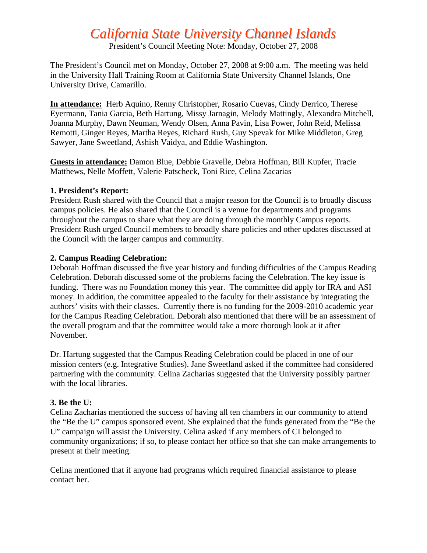# *California State University Channel Islands*

President's Council Meeting Note: Monday, October 27, 2008

The President's Council met on Monday, October 27, 2008 at 9:00 a.m. The meeting was held in the University Hall Training Room at California State University Channel Islands, One University Drive, Camarillo.

**In attendance:** Herb Aquino, Renny Christopher, Rosario Cuevas, Cindy Derrico, Therese Eyermann, Tania Garcia, Beth Hartung, Missy Jarnagin, Melody Mattingly, Alexandra Mitchell, Joanna Murphy, Dawn Neuman, Wendy Olsen, Anna Pavin, Lisa Power, John Reid, Melissa Remotti, Ginger Reyes, Martha Reyes, Richard Rush, Guy Spevak for Mike Middleton, Greg Sawyer, Jane Sweetland, Ashish Vaidya, and Eddie Washington.

**Guests in attendance:** Damon Blue, Debbie Gravelle, Debra Hoffman, Bill Kupfer, Tracie Matthews, Nelle Moffett, Valerie Patscheck, Toni Rice, Celina Zacarias

## **1. President's Report:**

President Rush shared with the Council that a major reason for the Council is to broadly discuss campus policies. He also shared that the Council is a venue for departments and programs throughout the campus to share what they are doing through the monthly Campus reports. President Rush urged Council members to broadly share policies and other updates discussed at the Council with the larger campus and community.

## **2. Campus Reading Celebration:**

Deborah Hoffman discussed the five year history and funding difficulties of the Campus Reading Celebration. Deborah discussed some of the problems facing the Celebration. The key issue is funding. There was no Foundation money this year. The committee did apply for IRA and ASI money. In addition, the committee appealed to the faculty for their assistance by integrating the authors' visits with their classes. Currently there is no funding for the 2009-2010 academic year for the Campus Reading Celebration. Deborah also mentioned that there will be an assessment of the overall program and that the committee would take a more thorough look at it after November.

Dr. Hartung suggested that the Campus Reading Celebration could be placed in one of our mission centers (e.g. Integrative Studies). Jane Sweetland asked if the committee had considered partnering with the community. Celina Zacharias suggested that the University possibly partner with the local libraries.

## **3. Be the U:**

Celina Zacharias mentioned the success of having all ten chambers in our community to attend the "Be the U" campus sponsored event. She explained that the funds generated from the "Be the U" campaign will assist the University. Celina asked if any members of CI belonged to community organizations; if so, to please contact her office so that she can make arrangements to present at their meeting.

Celina mentioned that if anyone had programs which required financial assistance to please contact her.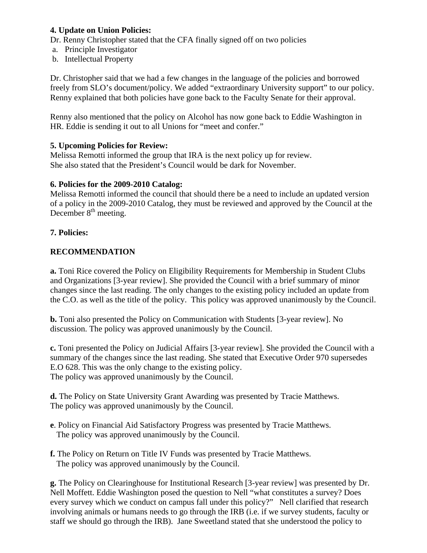## **4. Update on Union Policies:**

Dr. Renny Christopher stated that the CFA finally signed off on two policies

- a. Principle Investigator
- b. Intellectual Property

Dr. Christopher said that we had a few changes in the language of the policies and borrowed freely from SLO's document/policy. We added "extraordinary University support" to our policy. Renny explained that both policies have gone back to the Faculty Senate for their approval.

Renny also mentioned that the policy on Alcohol has now gone back to Eddie Washington in HR. Eddie is sending it out to all Unions for "meet and confer."

## **5. Upcoming Policies for Review:**

Melissa Remotti informed the group that IRA is the next policy up for review. She also stated that the President's Council would be dark for November.

## **6. Policies for the 2009-2010 Catalog:**

Melissa Remotti informed the council that should there be a need to include an updated version of a policy in the 2009-2010 Catalog, they must be reviewed and approved by the Council at the December  $8<sup>th</sup>$  meeting.

## **7. Policies:**

## **RECOMMENDATION**

**a.** Toni Rice covered the Policy on Eligibility Requirements for Membership in Student Clubs and Organizations [3-year review]. She provided the Council with a brief summary of minor changes since the last reading. The only changes to the existing policy included an update from the C.O. as well as the title of the policy. This policy was approved unanimously by the Council.

**b.** Toni also presented the Policy on Communication with Students [3-year review]. No discussion. The policy was approved unanimously by the Council.

**c.** Toni presented the Policy on Judicial Affairs [3-year review]. She provided the Council with a summary of the changes since the last reading. She stated that Executive Order 970 supersedes E.O 628. This was the only change to the existing policy. The policy was approved unanimously by the Council.

**d.** The Policy on State University Grant Awarding was presented by Tracie Matthews. The policy was approved unanimously by the Council.

- **e**. Policy on Financial Aid Satisfactory Progress was presented by Tracie Matthews. The policy was approved unanimously by the Council.
- **f.** The Policy on Return on Title IV Funds was presented by Tracie Matthews. The policy was approved unanimously by the Council.

**g.** The Policy on Clearinghouse for Institutional Research [3-year review] was presented by Dr. Nell Moffett. Eddie Washington posed the question to Nell "what constitutes a survey? Does every survey which we conduct on campus fall under this policy?" Nell clarified that research involving animals or humans needs to go through the IRB (i.e. if we survey students, faculty or staff we should go through the IRB). Jane Sweetland stated that she understood the policy to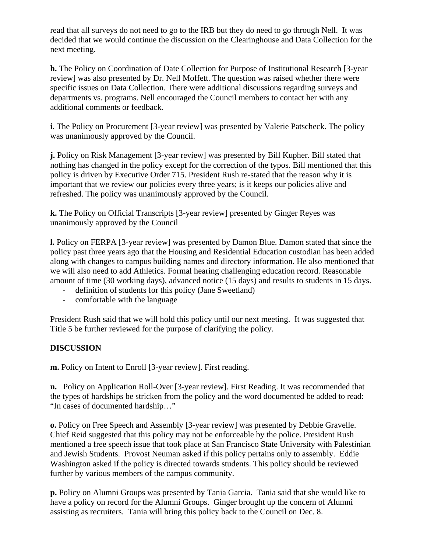read that all surveys do not need to go to the IRB but they do need to go through Nell. It was decided that we would continue the discussion on the Clearinghouse and Data Collection for the next meeting.

**h.** The Policy on Coordination of Date Collection for Purpose of Institutional Research [3-year review] was also presented by Dr. Nell Moffett. The question was raised whether there were specific issues on Data Collection. There were additional discussions regarding surveys and departments vs. programs. Nell encouraged the Council members to contact her with any additional comments or feedback.

**i**. The Policy on Procurement [3-year review] was presented by Valerie Patscheck. The policy was unanimously approved by the Council.

**j.** Policy on Risk Management [3-year review] was presented by Bill Kupher. Bill stated that nothing has changed in the policy except for the correction of the typos. Bill mentioned that this policy is driven by Executive Order 715. President Rush re-stated that the reason why it is important that we review our policies every three years; is it keeps our policies alive and refreshed. The policy was unanimously approved by the Council.

**k.** The Policy on Official Transcripts [3-year review] presented by Ginger Reyes was unanimously approved by the Council

**l.** Policy on FERPA [3-year review] was presented by Damon Blue. Damon stated that since the policy past three years ago that the Housing and Residential Education custodian has been added along with changes to campus building names and directory information. He also mentioned that we will also need to add Athletics. Formal hearing challenging education record. Reasonable amount of time (30 working days), advanced notice (15 days) and results to students in 15 days.

- definition of students for this policy (Jane Sweetland)
- comfortable with the language

President Rush said that we will hold this policy until our next meeting. It was suggested that Title 5 be further reviewed for the purpose of clarifying the policy.

## **DISCUSSION**

**m.** Policy on Intent to Enroll [3-year review]. First reading.

**n.** Policy on Application Roll-Over [3-year review]. First Reading. It was recommended that the types of hardships be stricken from the policy and the word documented be added to read: "In cases of documented hardship…"

**o.** Policy on Free Speech and Assembly [3-year review] was presented by Debbie Gravelle. Chief Reid suggested that this policy may not be enforceable by the police. President Rush mentioned a free speech issue that took place at San Francisco State University with Palestinian and Jewish Students. Provost Neuman asked if this policy pertains only to assembly. Eddie Washington asked if the policy is directed towards students. This policy should be reviewed further by various members of the campus community.

**p.** Policy on Alumni Groups was presented by Tania Garcia. Tania said that she would like to have a policy on record for the Alumni Groups. Ginger brought up the concern of Alumni assisting as recruiters. Tania will bring this policy back to the Council on Dec. 8.